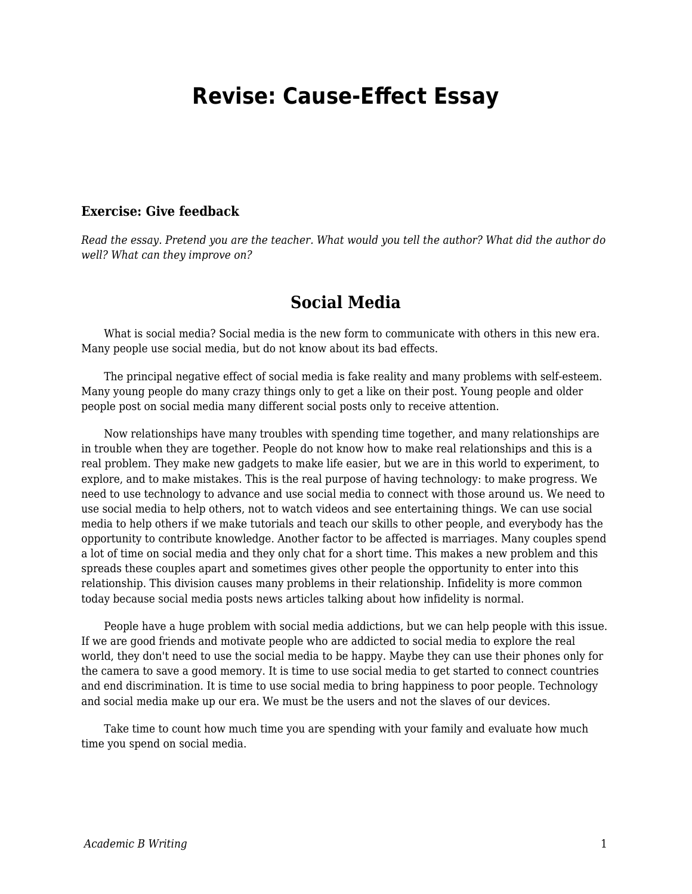## **Revise: Cause-Effect Essay**

## **Exercise: Give feedback**

*Read the essay. Pretend you are the teacher. What would you tell the author? What did the author do well? What can they improve on?*

## **Social Media**

 What is social media? Social media is the new form to communicate with others in this new era. Many people use social media, but do not know about its bad effects.

 The principal negative effect of social media is fake reality and many problems with self-esteem. Many young people do many crazy things only to get a like on their post. Young people and older people post on social media many different social posts only to receive attention.

 Now relationships have many troubles with spending time together, and many relationships are in trouble when they are together. People do not know how to make real relationships and this is a real problem. They make new gadgets to make life easier, but we are in this world to experiment, to explore, and to make mistakes. This is the real purpose of having technology: to make progress. We need to use technology to advance and use social media to connect with those around us. We need to use social media to help others, not to watch videos and see entertaining things. We can use social media to help others if we make tutorials and teach our skills to other people, and everybody has the opportunity to contribute knowledge. Another factor to be affected is marriages. Many couples spend a lot of time on social media and they only chat for a short time. This makes a new problem and this spreads these couples apart and sometimes gives other people the opportunity to enter into this relationship. This division causes many problems in their relationship. Infidelity is more common today because social media posts news articles talking about how infidelity is normal.

 People have a huge problem with social media addictions, but we can help people with this issue. If we are good friends and motivate people who are addicted to social media to explore the real world, they don't need to use the social media to be happy. Maybe they can use their phones only for the camera to save a good memory. It is time to use social media to get started to connect countries and end discrimination. It is time to use social media to bring happiness to poor people. Technology and social media make up our era. We must be the users and not the slaves of our devices.

 Take time to count how much time you are spending with your family and evaluate how much time you spend on social media.